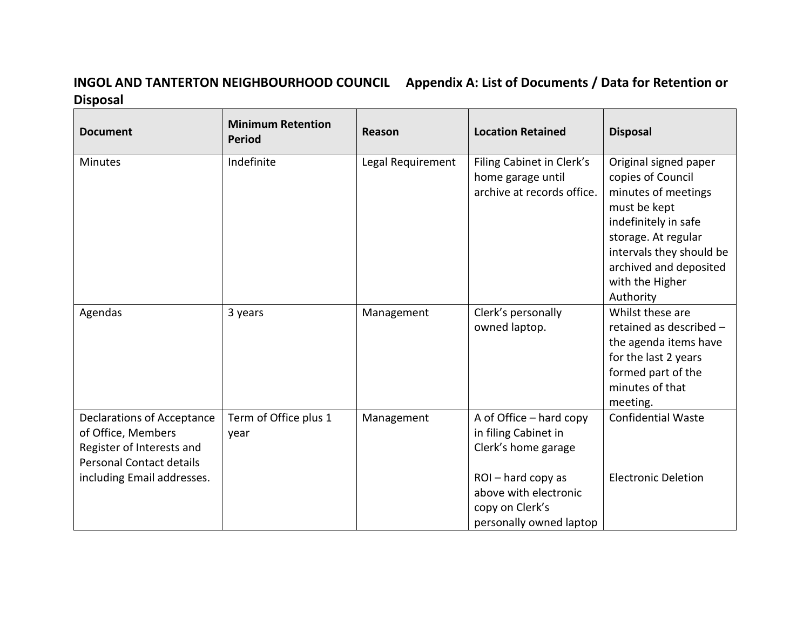## **INGOL AND TANTERTON NEIGHBOURHOOD COUNCIL Appendix A: List of Documents / Data for Retention or Disposal**

| <b>Document</b>                                                                                                                                       | <b>Minimum Retention</b><br><b>Period</b> | Reason            | <b>Location Retained</b>                                                                                                                                          | <b>Disposal</b>                                                                                                                                                                                                        |
|-------------------------------------------------------------------------------------------------------------------------------------------------------|-------------------------------------------|-------------------|-------------------------------------------------------------------------------------------------------------------------------------------------------------------|------------------------------------------------------------------------------------------------------------------------------------------------------------------------------------------------------------------------|
| <b>Minutes</b>                                                                                                                                        | Indefinite                                | Legal Requirement | Filing Cabinet in Clerk's<br>home garage until<br>archive at records office.                                                                                      | Original signed paper<br>copies of Council<br>minutes of meetings<br>must be kept<br>indefinitely in safe<br>storage. At regular<br>intervals they should be<br>archived and deposited<br>with the Higher<br>Authority |
| Agendas                                                                                                                                               | 3 years                                   | Management        | Clerk's personally<br>owned laptop.                                                                                                                               | Whilst these are<br>retained as described -<br>the agenda items have<br>for the last 2 years<br>formed part of the<br>minutes of that<br>meeting.                                                                      |
| <b>Declarations of Acceptance</b><br>of Office, Members<br>Register of Interests and<br><b>Personal Contact details</b><br>including Email addresses. | Term of Office plus 1<br>year             | Management        | A of Office - hard copy<br>in filing Cabinet in<br>Clerk's home garage<br>ROI-hard copy as<br>above with electronic<br>copy on Clerk's<br>personally owned laptop | <b>Confidential Waste</b><br><b>Electronic Deletion</b>                                                                                                                                                                |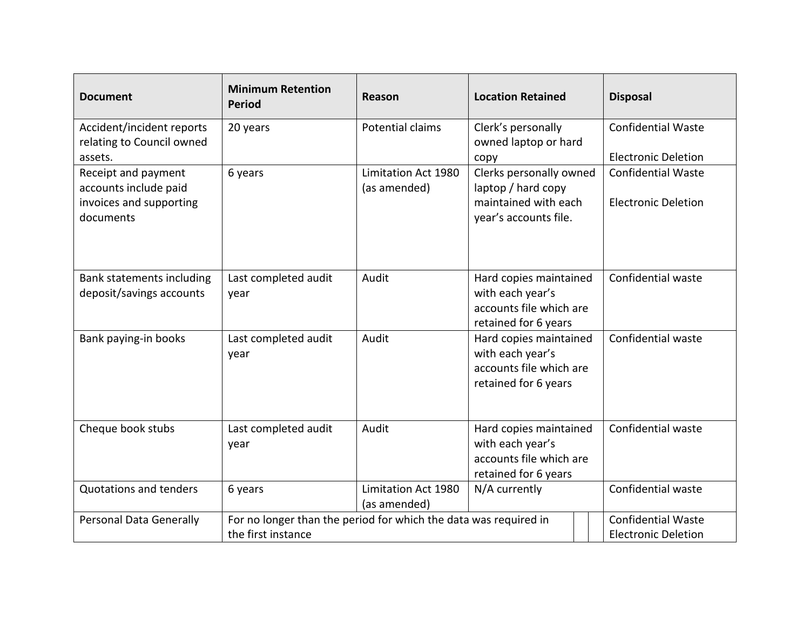| <b>Document</b>                                                                      | <b>Minimum Retention</b><br><b>Period</b>                                              | Reason                              | <b>Location Retained</b>                                                                       |  | <b>Disposal</b>                                         |
|--------------------------------------------------------------------------------------|----------------------------------------------------------------------------------------|-------------------------------------|------------------------------------------------------------------------------------------------|--|---------------------------------------------------------|
| Accident/incident reports<br>relating to Council owned<br>assets.                    | 20 years                                                                               | Potential claims                    | Clerk's personally<br>owned laptop or hard<br>copy                                             |  | <b>Confidential Waste</b><br><b>Electronic Deletion</b> |
| Receipt and payment<br>accounts include paid<br>invoices and supporting<br>documents | 6 years                                                                                | Limitation Act 1980<br>(as amended) | Clerks personally owned<br>laptop / hard copy<br>maintained with each<br>year's accounts file. |  | <b>Confidential Waste</b><br><b>Electronic Deletion</b> |
| Bank statements including<br>deposit/savings accounts                                | Last completed audit<br>year                                                           | Audit                               | Hard copies maintained<br>with each year's<br>accounts file which are<br>retained for 6 years  |  | Confidential waste                                      |
| Bank paying-in books                                                                 | Last completed audit<br>year                                                           | Audit                               | Hard copies maintained<br>with each year's<br>accounts file which are<br>retained for 6 years  |  | Confidential waste                                      |
| Cheque book stubs                                                                    | Last completed audit<br>year                                                           | Audit                               | Hard copies maintained<br>with each year's<br>accounts file which are<br>retained for 6 years  |  | Confidential waste                                      |
| <b>Quotations and tenders</b>                                                        | 6 years                                                                                | Limitation Act 1980<br>(as amended) | N/A currently                                                                                  |  | Confidential waste                                      |
| Personal Data Generally                                                              | For no longer than the period for which the data was required in<br>the first instance |                                     |                                                                                                |  | <b>Confidential Waste</b><br><b>Electronic Deletion</b> |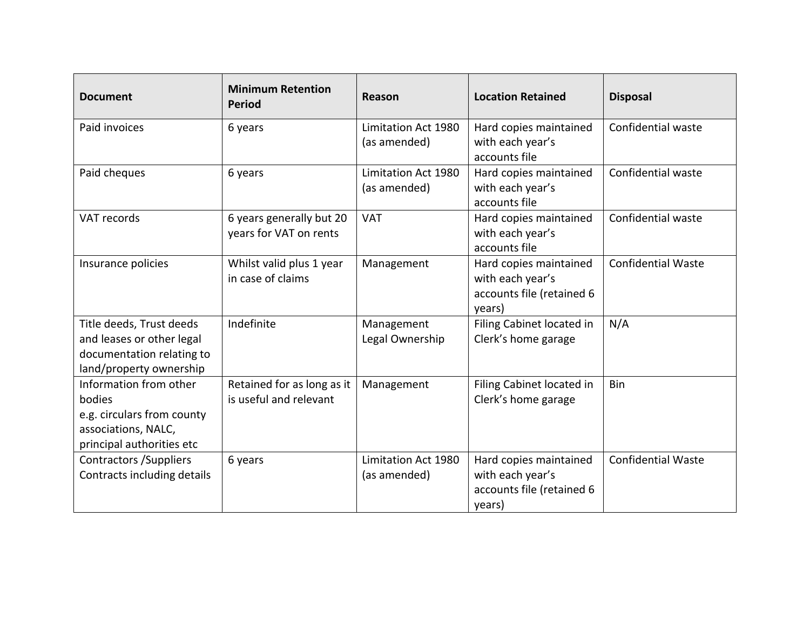| <b>Document</b>                                                                                                    | <b>Minimum Retention</b><br><b>Period</b>            | Reason                              | <b>Location Retained</b>                                                          | <b>Disposal</b>           |
|--------------------------------------------------------------------------------------------------------------------|------------------------------------------------------|-------------------------------------|-----------------------------------------------------------------------------------|---------------------------|
| Paid invoices                                                                                                      | 6 years                                              | Limitation Act 1980<br>(as amended) | Hard copies maintained<br>with each year's<br>accounts file                       | Confidential waste        |
| Paid cheques                                                                                                       | 6 years                                              | Limitation Act 1980<br>(as amended) | Hard copies maintained<br>with each year's<br>accounts file                       | Confidential waste        |
| VAT records                                                                                                        | 6 years generally but 20<br>years for VAT on rents   | <b>VAT</b>                          | Hard copies maintained<br>with each year's<br>accounts file                       | Confidential waste        |
| Insurance policies                                                                                                 | Whilst valid plus 1 year<br>in case of claims        | Management                          | Hard copies maintained<br>with each year's<br>accounts file (retained 6<br>years) | <b>Confidential Waste</b> |
| Title deeds, Trust deeds<br>and leases or other legal<br>documentation relating to<br>land/property ownership      | Indefinite                                           | Management<br>Legal Ownership       | Filing Cabinet located in<br>Clerk's home garage                                  | N/A                       |
| Information from other<br>bodies<br>e.g. circulars from county<br>associations, NALC,<br>principal authorities etc | Retained for as long as it<br>is useful and relevant | Management                          | Filing Cabinet located in<br>Clerk's home garage                                  | Bin                       |
| Contractors / Suppliers<br>Contracts including details                                                             | 6 years                                              | Limitation Act 1980<br>(as amended) | Hard copies maintained<br>with each year's<br>accounts file (retained 6<br>years) | <b>Confidential Waste</b> |